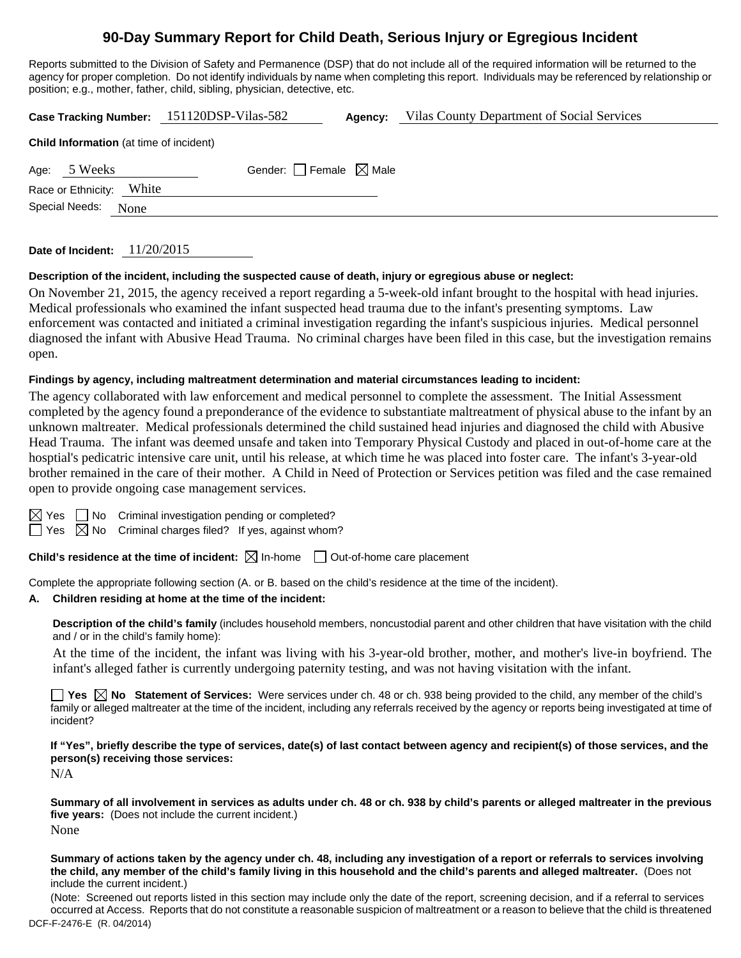# **90-Day Summary Report for Child Death, Serious Injury or Egregious Incident**

Reports submitted to the Division of Safety and Permanence (DSP) that do not include all of the required information will be returned to the agency for proper completion. Do not identify individuals by name when completing this report. Individuals may be referenced by relationship or position; e.g., mother, father, child, sibling, physician, detective, etc.

|                                                | Case Tracking Number: 151120DSP-Vilas-582 | Agency: | Vilas County Department of Social Services |  |  |  |  |  |
|------------------------------------------------|-------------------------------------------|---------|--------------------------------------------|--|--|--|--|--|
| <b>Child Information</b> (at time of incident) |                                           |         |                                            |  |  |  |  |  |
| Age: 5 Weeks                                   | Gender: Female $\boxtimes$ Male           |         |                                            |  |  |  |  |  |
| Race or Ethnicity: White                       |                                           |         |                                            |  |  |  |  |  |
| Special Needs:<br>None                         |                                           |         |                                            |  |  |  |  |  |
|                                                |                                           |         |                                            |  |  |  |  |  |

### **Description of the incident, including the suspected cause of death, injury or egregious abuse or neglect:**

On November 21, 2015, the agency received a report regarding a 5-week-old infant brought to the hospital with head injuries. Medical professionals who examined the infant suspected head trauma due to the infant's presenting symptoms. Law enforcement was contacted and initiated a criminal investigation regarding the infant's suspicious injuries. Medical personnel diagnosed the infant with Abusive Head Trauma. No criminal charges have been filed in this case, but the investigation remains open.

### **Findings by agency, including maltreatment determination and material circumstances leading to incident:**

The agency collaborated with law enforcement and medical personnel to complete the assessment. The Initial Assessment completed by the agency found a preponderance of the evidence to substantiate maltreatment of physical abuse to the infant by an unknown maltreater. Medical professionals determined the child sustained head injuries and diagnosed the child with Abusive Head Trauma. The infant was deemed unsafe and taken into Temporary Physical Custody and placed in out-of-home care at the hosptial's pedicatric intensive care unit, until his release, at which time he was placed into foster care. The infant's 3-year-old brother remained in the care of their mother. A Child in Need of Protection or Services petition was filed and the case remained open to provide ongoing case management services.

 $\Box$  No Criminal investigation pending or completed?

 $\Box$  Yes  $\boxtimes$  No Criminal charges filed? If yes, against whom?

**Child's residence at the time of incident:** ⊠ In-home □ Out-of-home care placement

Complete the appropriate following section (A. or B. based on the child's residence at the time of the incident).

#### **A. Children residing at home at the time of the incident:**

**Description of the child's family** (includes household members, noncustodial parent and other children that have visitation with the child and / or in the child's family home):

 At the time of the incident, the infant was living with his 3-year-old brother, mother, and mother's live-in boyfriend. The infant's alleged father is currently undergoing paternity testing, and was not having visitation with the infant.

**Yes No** Statement of Services: Were services under ch. 48 or ch. 938 being provided to the child, any member of the child's family or alleged maltreater at the time of the incident, including any referrals received by the agency or reports being investigated at time of incident?

**If "Yes", briefly describe the type of services, date(s) of last contact between agency and recipient(s) of those services, and the person(s) receiving those services:** 

N/A

**Summary of all involvement in services as adults under ch. 48 or ch. 938 by child's parents or alleged maltreater in the previous five years:** (Does not include the current incident.) None

**Summary of actions taken by the agency under ch. 48, including any investigation of a report or referrals to services involving the child, any member of the child's family living in this household and the child's parents and alleged maltreater.** (Does not include the current incident.)

DCF-F-2476-E (R. 04/2014) (Note: Screened out reports listed in this section may include only the date of the report, screening decision, and if a referral to services occurred at Access. Reports that do not constitute a reasonable suspicion of maltreatment or a reason to believe that the child is threatened